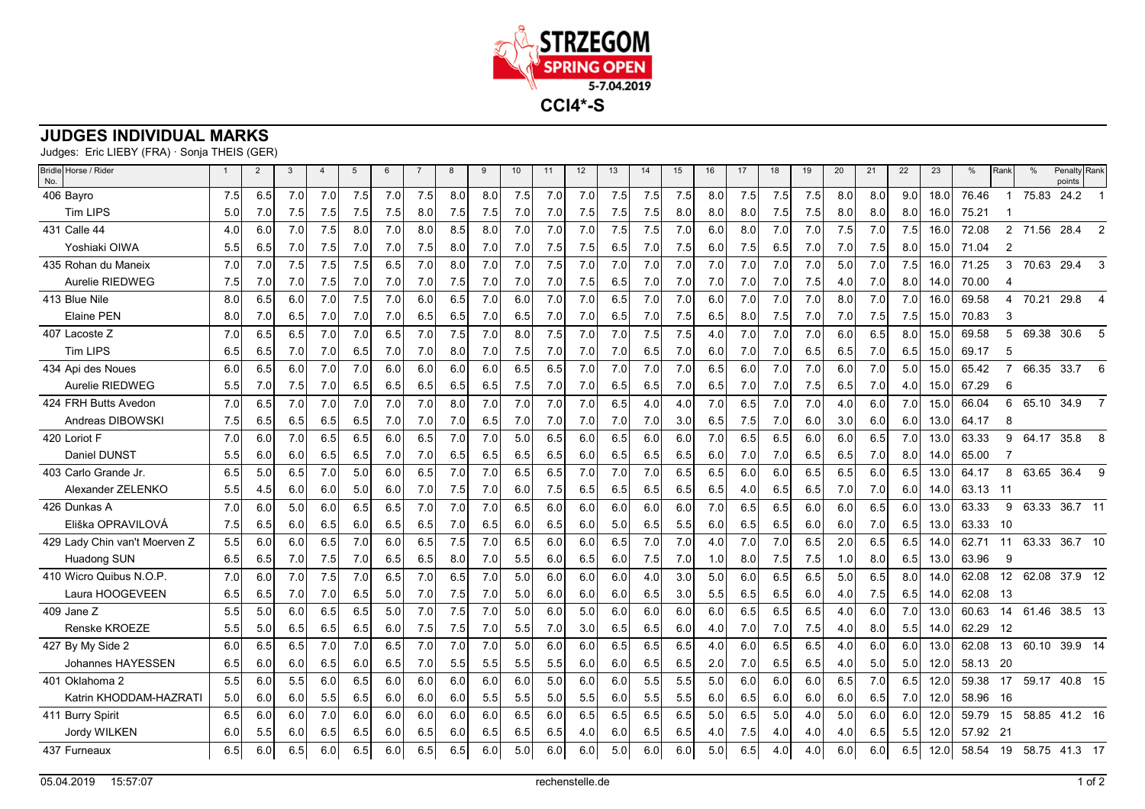

## **JUDGES INDIVIDUAL MARKS**

Judges: Eric LIEBY (FRA) · Sonja THEIS (GER)

| Bridle Horse / Rider<br>No.   |     | $\overline{2}$ | 3   | $\overline{a}$ | 5   | 6   |     | 8   | 9   | 10  | 11  | 12  | 13  | 14  | 15               | 16  | 17  | 18  | 19  | 20  | 21  | 22               | 23   | %     | Rank           | $\frac{0}{0}$ | Penalty Rank<br>points |
|-------------------------------|-----|----------------|-----|----------------|-----|-----|-----|-----|-----|-----|-----|-----|-----|-----|------------------|-----|-----|-----|-----|-----|-----|------------------|------|-------|----------------|---------------|------------------------|
| 406 Bayro                     | 7.5 | 6.5            | 7.0 | 7.0            | 7.5 | 7.0 | 7.5 | 8.0 | 8.0 | 7.5 | 7.0 | 7.0 | 7.5 | 7.5 | 7.5              | 8.0 | 7.5 | 7.5 | 7.5 | 8.0 | 8.0 | 9.0 <sub>l</sub> | 18.0 | 76.46 | -1             | 75.83         | 24.2                   |
| <b>Tim LIPS</b>               | 5.0 | 7.0            | 7.5 | 7.5            | 7.5 | 7.5 | 8.0 | 7.5 | 7.5 | 7.0 | 7.0 | 7.5 | 7.5 | 7.5 | 8.0              | 8.0 | 8.0 | 7.5 | 7.5 | 8.0 | 8.0 | 8.0              | 16.0 | 75.21 |                |               |                        |
| 431 Calle 44                  | 4.0 | 6.0            | 7.0 | 7.5            | 8.0 | 7.0 | 8.0 | 8.5 | 8.0 | 7.0 | 7.0 | 7.0 | 7.5 | 7.5 | 7.0              | 6.0 | 8.0 | 7.0 | 7.0 | 7.5 | 7.0 | 7.5              | 16.0 | 72.08 | $\overline{2}$ | 71.56         | 28.4<br>$\mathcal{P}$  |
| Yoshiaki OIWA                 | 5.5 | 6.5            | 7.0 | 7.5            | 7.0 | 7.0 | 7.5 | 8.0 | 7.0 | 7.0 | 7.5 | 7.5 | 6.5 | 7.0 | 7.5              | 6.0 | 7.5 | 6.5 | 7.0 | 7.0 | 7.5 | 8.0              | 15.0 | 71.04 | $\overline{2}$ |               |                        |
| 435 Rohan du Maneix           | 7.0 | 7.0            | 7.5 | 7.5            | 7.5 | 6.5 | 7.0 | 8.0 | 7.0 | 7.0 | 7.5 | 7.0 | 7.0 | 7.0 | 7.0              | 7.0 | 7.0 | 7.0 | 7.0 | 5.0 | 7.0 | 7.5              | 16.0 | 71.25 | 3              | 70.63         | 29.4<br>3              |
| Aurelie RIEDWEG               | 7.5 | 7.0            | 7.0 | 7.5            | 7.0 | 7.0 | 7.0 | 7.5 | 7.0 | 7.0 | 7.0 | 7.5 | 6.5 | 7.0 | 7.0              | 7.0 | 7.0 | 7.0 | 7.5 | 4.0 | 7.0 | 8.0              | 14.0 | 70.00 | 4              |               |                        |
| 413 Blue Nile                 | 8.0 | 6.5            | 6.0 | 7.0            | 7.5 | 7.0 | 6.0 | 6.5 | 7.0 | 6.0 | 7.0 | 7.0 | 6.5 | 7.0 | 7.0              | 6.0 | 7.0 | 7.0 | 7.0 | 8.0 | 7.0 | 7.0              | 16.0 | 69.58 | 4              | 70.21         | 29.8                   |
| Elaine PEN                    | 8.0 | 7.0            | 6.5 | 7.0            | 7.0 | 7.0 | 6.5 | 6.5 | 7.0 | 6.5 | 7.0 | 7.0 | 6.5 | 7.0 | 7.5              | 6.5 | 8.0 | 7.5 | 7.0 | 7.0 | 7.5 | 7.5              | 15.0 | 70.83 | 3              |               |                        |
| 407 Lacoste Z                 | 7.0 | 6.5            | 6.5 | 7.0            | 7.0 | 6.5 | 7.0 | 7.5 | 7.0 | 8.0 | 7.5 | 7.0 | 7.0 | 7.5 | 7.5              | 4.0 | 7.0 | 7.0 | 7.0 | 6.0 | 6.5 | 8.0              | 15.0 | 69.58 | 5              | 69.38         | 30.6<br>5              |
| <b>Tim LIPS</b>               | 6.5 | 6.5            | 7.0 | 7.0            | 6.5 | 7.0 | 7.0 | 8.0 | 7.0 | 7.5 | 7.0 | 7.0 | 7.0 | 6.5 | 7.0              | 6.0 | 7.0 | 7.0 | 6.5 | 6.5 | 7.0 | 6.5I             | 15.0 | 69.17 | 5              |               |                        |
| 434 Api des Noues             | 6.0 | 6.5            | 6.0 | 7.0            | 7.0 | 6.0 | 6.0 | 6.0 | 6.0 | 6.5 | 6.5 | 7.0 | 7.0 | 7.0 | 7.0              | 6.5 | 6.0 | 7.0 | 7.0 | 6.0 | 7.0 | 5.0              | 15.0 | 65.42 |                | 66.35         | 33.7<br>6              |
| <b>Aurelie RIEDWEG</b>        | 5.5 | 7.0            | 7.5 | 7.0            | 6.5 | 6.5 | 6.5 | 6.5 | 6.5 | 7.5 | 7.0 | 7.0 | 6.5 | 6.5 | 7.0              | 6.5 | 7.0 | 7.0 | 7.5 | 6.5 | 7.0 | 4.01             | 15.0 | 67.29 | 6              |               |                        |
| 424 FRH Butts Avedon          | 7.0 | 6.5            | 7.0 | 7.0            | 7.0 | 7.0 | 7.0 | 8.0 | 7.0 | 7.0 | 7.0 | 7.0 | 6.5 | 4.0 | 4.0              | 7.0 | 6.5 | 7.0 | 7.0 | 4.0 | 6.0 | 7.0              | 15.0 | 66.04 | 6              | 65.10         | 34.9<br>$\overline{7}$ |
| Andreas DIBOWSKI              | 7.5 | 6.5            | 6.5 | 6.5            | 6.5 | 7.0 | 7.0 | 7.0 | 6.5 | 7.0 | 7.0 | 7.0 | 7.0 | 7.0 | 3.0              | 6.5 | 7.5 | 7.0 | 6.0 | 3.0 | 6.0 | 6.0              | 13.0 | 64.17 | 8              |               |                        |
| 420 Loriot F                  | 7.0 | 6.0            | 7.0 | 6.5            | 6.5 | 6.0 | 6.5 | 7.0 | 7.0 | 5.0 | 6.5 | 6.0 | 6.5 | 6.0 | 6.0              | 7.0 | 6.5 | 6.5 | 6.0 | 6.0 | 6.5 | 7.OI             | 13.0 | 63.33 | 9              | 64.17         | 35.8<br>8              |
| Daniel DUNST                  | 5.5 | 6.0            | 6.0 | 6.5            | 6.5 | 7.0 | 7.0 | 6.5 | 6.5 | 6.5 | 6.5 | 6.0 | 6.5 | 6.5 | 6.5              | 6.0 | 7.0 | 7.0 | 6.5 | 6.5 | 7.0 | 8.0              | 14.0 | 65.00 | 7              |               |                        |
| 403 Carlo Grande Jr.          | 6.5 | 5.0            | 6.5 | 7.0            | 5.0 | 6.0 | 6.5 | 7.0 | 7.0 | 6.5 | 6.5 | 7.0 | 7.0 | 7.0 | 6.5              | 6.5 | 6.0 | 6.0 | 6.5 | 6.5 | 6.0 | 6.5              | 13.0 | 64.17 | 8              | 63.65         | 36.4<br>$\mathbf{Q}$   |
| Alexander ZELENKO             | 5.5 | 4.5            | 6.0 | 6.0            | 5.0 | 6.0 | 7.0 | 7.5 | 7.0 | 6.0 | 7.5 | 6.5 | 6.5 | 6.5 | 6.5              | 6.5 | 4.0 | 6.5 | 6.5 | 7.0 | 7.0 | 6.0              | 14.0 | 63.13 | $-11$          |               |                        |
| 426 Dunkas A                  | 7.0 | 6.0            | 5.0 | 6.0            | 6.5 | 6.5 | 7.0 | 7.0 | 7.0 | 6.5 | 6.0 | 6.0 | 6.0 | 6.0 | 6.0              | 7.0 | 6.5 | 6.5 | 6.0 | 6.0 | 6.5 | 6.0              | 13.0 | 63.33 | 9              | 63.33         | 36.7 11                |
| Eliška OPRAVILOVÁ             | 7.5 | 6.5            | 6.0 | 6.5            | 6.0 | 6.5 | 6.5 | 7.0 | 6.5 | 6.0 | 6.5 | 6.0 | 5.0 | 6.5 | 5.5              | 6.0 | 6.5 | 6.5 | 6.0 | 6.0 | 7.0 | 6.5              | 13.0 | 63.33 | 10             |               |                        |
| 429 Lady Chin van't Moerven Z | 5.5 | 6.0            | 6.0 | 6.5            | 7.0 | 6.0 | 6.5 | 7.5 | 7.0 | 6.5 | 6.0 | 6.0 | 6.5 | 7.0 | 7.0              | 4.0 | 7.0 | 7.0 | 6.5 | 2.0 | 6.5 | 6.5              | 14.0 | 62.71 | 11             | 63.33         | 36.7 10                |
| Huadong SUN                   | 6.5 | 6.5            | 7.0 | 7.5            | 7.0 | 6.5 | 6.5 | 8.0 | 7.0 | 5.5 | 6.0 | 6.5 | 6.0 | 7.5 | 7.0              | 1.0 | 8.0 | 7.5 | 7.5 | 1.0 | 8.0 | 6.5              | 13.0 | 63.96 | 9              |               |                        |
| 410 Wicro Quibus N.O.P.       | 7.0 | 6.0            | 7.0 | 7.5            | 7.0 | 6.5 | 7.0 | 6.5 | 7.0 | 5.0 | 6.0 | 6.0 | 6.0 | 4.0 | 3.0              | 5.0 | 6.0 | 6.5 | 6.5 | 5.0 | 6.5 | 8.0              | 14.0 | 62.08 | 12             | 62.08         | 37.9 12                |
| Laura HOOGEVEEN               | 6.5 | 6.5            | 7.0 | 7.0            | 6.5 | 5.0 | 7.0 | 7.5 | 7.0 | 5.0 | 6.0 | 6.0 | 6.0 | 6.5 | 3.0              | 5.5 | 6.5 | 6.5 | 6.0 | 4.0 | 7.5 | 6.5              | 14.0 | 62.08 | 13             |               |                        |
| 409 Jane Z                    | 5.5 | 5.0            | 6.0 | 6.5            | 6.5 | 5.0 | 7.0 | 7.5 | 7.0 | 5.0 | 6.0 | 5.0 | 6.0 | 6.0 | 6.0              | 6.0 | 6.5 | 6.5 | 6.5 | 4.0 | 6.0 | 7.0              | 13.0 | 60.63 | 14             | 61.46         | 38.5 13                |
| Renske KROEZE                 | 5.5 | 5.0            | 6.5 | 6.5            | 6.5 | 6.0 | 7.5 | 7.5 | 7.0 | 5.5 | 7.0 | 3.0 | 6.5 | 6.5 | 6.0              | 4.0 | 7.0 | 7.0 | 7.5 | 4.0 | 8.0 | 5.5              | 14.0 | 62.29 | 12             |               |                        |
| 427 By My Side 2              | 6.0 | 6.5            | 6.5 | 7.0            | 7.0 | 6.5 | 7.0 | 7.0 | 7.0 | 5.0 | 6.0 | 6.0 | 6.5 | 6.5 | 6.5              | 4.0 | 6.0 | 6.5 | 6.5 | 4.0 | 6.0 | 6.0              | 13.0 | 62.08 | 13             | 60.10         | 39.9 14                |
| Johannes HAYESSEN             | 6.5 | 6.0            | 6.0 | 6.5            | 6.0 | 6.5 | 7.0 | 5.5 | 5.5 | 5.5 | 5.5 | 6.0 | 6.0 | 6.5 | 6.5              | 2.0 | 7.0 | 6.5 | 6.5 | 4.0 | 5.0 | 5.0              | 12.0 | 58.13 | - 20           |               |                        |
| 401 Oklahoma 2                | 5.5 | 6.0            | 5.5 | 6.0            | 6.5 | 6.0 | 6.0 | 6.0 | 6.0 | 6.0 | 5.0 | 6.0 | 6.0 | 5.5 | 5.5              | 5.0 | 6.0 | 6.0 | 6.0 | 6.5 | 7.0 | 6.5              | 12.0 | 59.38 | 17             | 59.17         | 40.8 15                |
| Katrin KHODDAM-HAZRATI        | 5.0 | 6.0            | 6.0 | 5.5            | 6.5 | 6.0 | 6.0 | 6.0 | 5.5 | 5.5 | 5.0 | 5.5 | 6.0 | 5.5 | 5.5              | 6.0 | 6.5 | 6.0 | 6.0 | 6.0 | 6.5 | 7.01             | 12.0 | 58.96 | -16            |               |                        |
| 411 Burry Spirit              | 6.5 | 6.0            | 6.0 | 7.0            | 6.0 | 6.0 | 6.0 | 6.0 | 6.0 | 6.5 | 6.0 | 6.5 | 6.5 | 6.5 | 6.5              | 5.0 | 6.5 | 5.0 | 4.0 | 5.0 | 6.0 | 6.0              | 12.0 | 59.79 | 15             |               | 58.85 41.2 16          |
| Jordy WILKEN                  | 6.0 | 5.5            | 6.0 | 6.5            | 6.5 | 6.0 | 6.5 | 6.0 | 6.5 | 6.5 | 6.5 | 4.0 | 6.0 | 6.5 | 6.5 <sub>1</sub> | 4.0 | 7.5 | 4.0 | 4.0 | 4.0 | 6.5 | 5.5              | 12.0 | 57.92 | 21             |               |                        |
| 437 Furneaux                  | 6.5 | 6.0            | 6.5 | 6.0            | 6.5 | 6.0 | 6.5 | 6.5 | 6.0 | 5.0 | 6.0 | 6.0 | 5.0 | 6.0 | 6.0              | 5.0 | 6.5 | 4.0 | 4.0 | 6.0 | 6.0 | 6.5              | 12.0 | 58.54 | 19             |               | 58.75 41.3 17          |